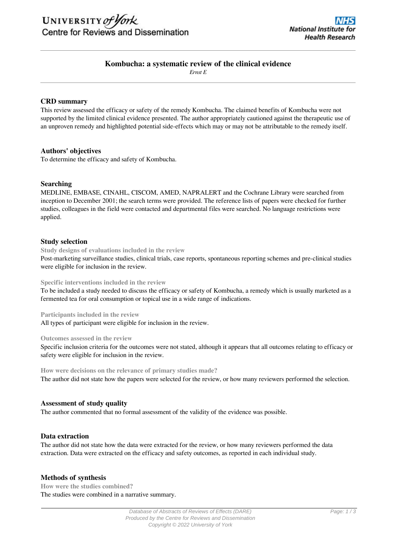# **Kombucha: a systematic review of the clinical evidence**

*Ernst E*

## **CRD summary**

This review assessed the efficacy or safety of the remedy Kombucha. The claimed benefits of Kombucha were not supported by the limited clinical evidence presented. The author appropriately cautioned against the therapeutic use of an unproven remedy and highlighted potential side-effects which may or may not be attributable to the remedy itself.

## **Authors' objectives**

To determine the efficacy and safety of Kombucha.

## **Searching**

MEDLINE, EMBASE, CINAHL, CISCOM, AMED, NAPRALERT and the Cochrane Library were searched from inception to December 2001; the search terms were provided. The reference lists of papers were checked for further studies, colleagues in the field were contacted and departmental files were searched. No language restrictions were applied.

## **Study selection**

**Study designs of evaluations included in the review**

Post-marketing surveillance studies, clinical trials, case reports, spontaneous reporting schemes and pre-clinical studies were eligible for inclusion in the review.

#### **Specific interventions included in the review**

To be included a study needed to discuss the efficacy or safety of Kombucha, a remedy which is usually marketed as a fermented tea for oral consumption or topical use in a wide range of indications.

**Participants included in the review**

All types of participant were eligible for inclusion in the review.

#### **Outcomes assessed in the review**

Specific inclusion criteria for the outcomes were not stated, although it appears that all outcomes relating to efficacy or safety were eligible for inclusion in the review.

**How were decisions on the relevance of primary studies made?** The author did not state how the papers were selected for the review, or how many reviewers performed the selection.

#### **Assessment of study quality**

The author commented that no formal assessment of the validity of the evidence was possible.

#### **Data extraction**

The author did not state how the data were extracted for the review, or how many reviewers performed the data extraction. Data were extracted on the efficacy and safety outcomes, as reported in each individual study.

## **Methods of synthesis**

**How were the studies combined?** The studies were combined in a narrative summary.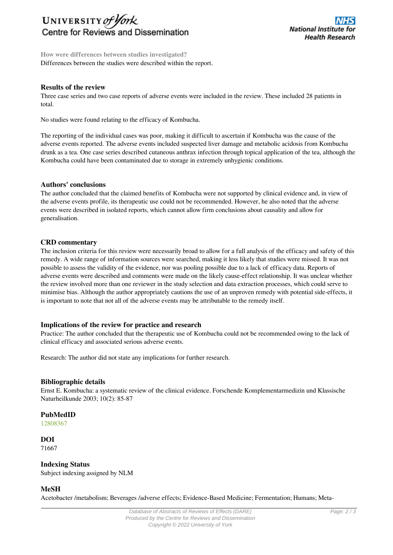

**How were differences between studies investigated?** Differences between the studies were described within the report.

## **Results of the review**

Three case series and two case reports of adverse events were included in the review. These included 28 patients in total.

No studies were found relating to the efficacy of Kombucha.

The reporting of the individual cases was poor, making it difficult to ascertain if Kombucha was the cause of the adverse events reported. The adverse events included suspected liver damage and metabolic acidosis from Kombucha drunk as a tea. One case series described cutaneous anthrax infection through topical application of the tea, although the Kombucha could have been contaminated due to storage in extremely unhygienic conditions.

#### **Authors' conclusions**

The author concluded that the claimed benefits of Kombucha were not supported by clinical evidence and, in view of the adverse events profile, its therapeutic use could not be recommended. However, he also noted that the adverse events were described in isolated reports, which cannot allow firm conclusions about causality and allow for generalisation.

#### **CRD commentary**

The inclusion criteria for this review were necessarily broad to allow for a full analysis of the efficacy and safety of this remedy. A wide range of information sources were searched, making it less likely that studies were missed. It was not possible to assess the validity of the evidence, nor was pooling possible due to a lack of efficacy data. Reports of adverse events were described and comments were made on the likely cause-effect relationship. It was unclear whether the review involved more than one reviewer in the study selection and data extraction processes, which could serve to minimise bias. Although the author appropriately cautions the use of an unproven remedy with potential side-effects, it is important to note that not all of the adverse events may be attributable to the remedy itself.

#### **Implications of the review for practice and research**

Practice: The author concluded that the therapeutic use of Kombucha could not be recommended owing to the lack of clinical efficacy and associated serious adverse events.

Research: The author did not state any implications for further research.

#### **Bibliographic details**

Ernst E. Kombucha: a systematic review of the clinical evidence. Forschende Komplementarmedizin und Klassische Naturheilkunde 2003; 10(2): 85-87

## **PubMedID**

[12808367](http://www.ncbi.nlm.nih.gov/pubmed?term=12808367)

#### **DOI** 71667

# **Indexing Status**

Subject indexing assigned by NLM

## **MeSH**

Acetobacter /metabolism; Beverages /adverse effects; Evidence-Based Medicine; Fermentation; Humans; Meta-